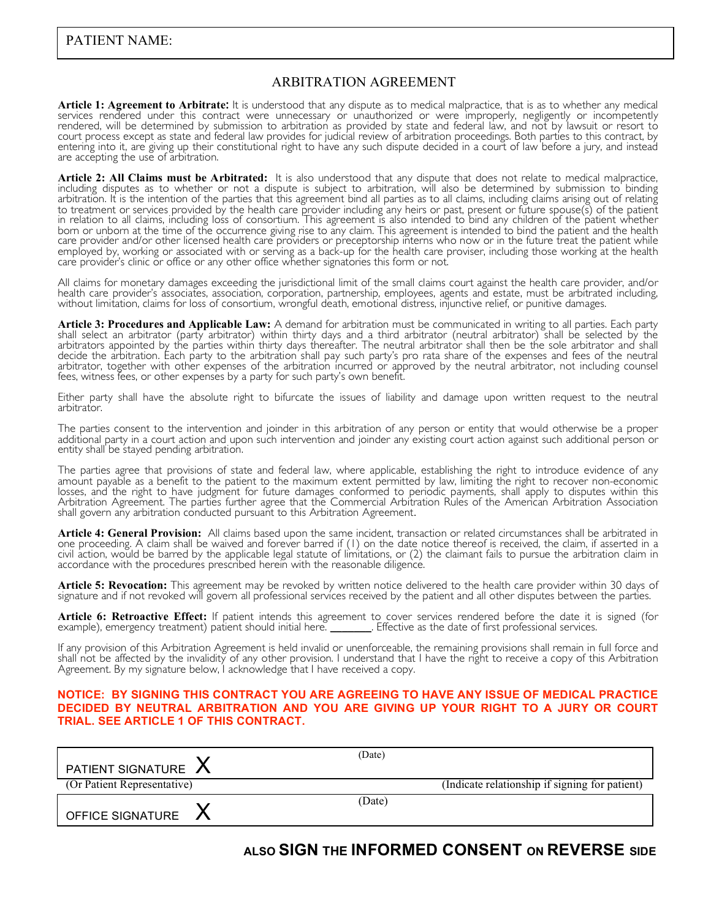#### ARBITRATION AGREEMENT

**Article 1: Agreement to Arbitrate:** It is understood that any dispute as to medical malpractice, that is as to whether any medical services rendered under this contract were unnecessary or unauthorized or were improperly, negligently or incompetently rendered, will be determined by submission to arbitration as provided by state and federal law, and not by lawsuit or resort to court process except as state and federal law provides for judicial review of arbitration proceedings. Both parties to this contract, by entering into it, are giving up their constitutional right to have any such dispute decided in a court of law before a jury, and instead are accepting the use of arbitration.

Article 2: All Claims must be Arbitrated: It is also understood that any dispute that does not relate to medical malpractice, including disputes as to whether or not a dispute is subject to arbitration, will also be determ arbitration. It is the intention of the parties that this agreement bind all parties as to all claims, including claims arising out of relating to treatment or services provided by the health care provider including any heirs or past, present or future spouse(s) of the patient in relation to all claims, including loss of consortium. This agreement is also intended to bind any children of the patient whether born or unborn at the time of the occurrence giving rise to any claim. This agreement is intended to bind the patient and the health care provider and/or other licensed health care providers or preceptorship interns who now or in the future treat the patient while employed by, working or associated with or serving as a back-up for the health care proviser, including those working at the health care provider's clinic or office or any other office whether signatories this form or not.

All claims for monetary damages exceeding the jurisdictional limit of the small claims court against the health care provider, and/or health care provider's associates, association, corporation, partnership, employees, agents and estate, must be arbitrated including, without limitation, claims for loss of consortium, wrongful death, emotional distress, i

**Article 3: Procedures and Applicable Law:** A demand for arbitration must be communicated in writing to all parties. Each party shall select an arbitrator (party arbitrator) within thirty days and a third arbitrator (neutral arbitrator) shall be selected by the arbitrators appointed by the parties within thirty days thereafter. The neutral arbitrator shall then be the sole arbitrator and shall decide the arbitration. Each party to the arbitration shall pay such party's pro rata share of the expenses and fees of the neutral arbitrator, together with other expenses of the arbitration incurred or approved by the neutral arbitrator, not including counsel fees, witness fees, or other expenses by a party for such party's own benefit.

Either party shall have the absolute right to bifurcate the issues of liability and damage upon written request to the neutral arbitrator.

The parties consent to the intervention and joinder in this arbitration of any person or entity that would otherwise be a proper additional party in a court action and upon such intervention and joinder any existing court action against such additional person or entity shall be stayed pending arbitration.

The parties agree that provisions of state and federal law, where applicable, establishing the right to introduce evidence of any amount payable as a benefit to the patient to the maximum extent permitted by law, limiting the right to recover non-economic losses, and the right to have judgment for future damages conformed to periodic payments, shall apply to disputes within this Arbitration Agreement. The parties further agree that the Commercial Arbitration Rules of the American Arbitration Association shall govern any arbitration conducted pursuant to this Arbitration Agreement.

**Article 4: General Provision:** All claims based upon the same incident, transaction or related circumstances shall be arbitrated in one proceeding. A claim shall be waived and forever barred if (1) on the date notice thereof is received, the claim, if asserted in a civil action, would be barred by the applicable legal statute of limitations, or (2) the claimant fails to pursue the arbitration claim in accordance with the procedures prescribed herein with the reasonable diligence.

**Article 5: Revocation:** This agreement may be revoked by written notice delivered to the health care provider within 30 days of signature and if not revoked will govern all professional services received by the patient and all other disputes between the parties.

**Article 6: Retroactive Effect:** If patient intends this agreement to cover services rendered before the date it is signed (for example), emergency treatment) patient should initial here.

If any provision of this Arbitration Agreement is held invalid or unenforceable, the remaining provisions shall remain in full force and shall not be affected by the invalidity of any other provision. I understand that I have the right to receive a copy of this Arbitration Agreement. By my signature below, I acknowledge that I have received a copy.

#### **NOTICE: BY SIGNING THIS CONTRACT YOU ARE AGREEING TO HAVE ANY ISSUE OF MEDICAL PRACTICE DECIDED BY NEUTRAL ARBITRATION AND YOU ARE GIVING UP YOUR RIGHT TO A JURY OR COURT TRIAL. SEE ARTICLE 1 OF THIS CONTRACT.**

| PATIENT SIGNATURE A         | (Date) |                                                |
|-----------------------------|--------|------------------------------------------------|
| (Or Patient Representative) |        | (Indicate relationship if signing for patient) |
| OFFICE SIGNATURE            | (Date) |                                                |

# **ALSO SIGN THE INFORMED CONSENT ON REVERSE SIDE**